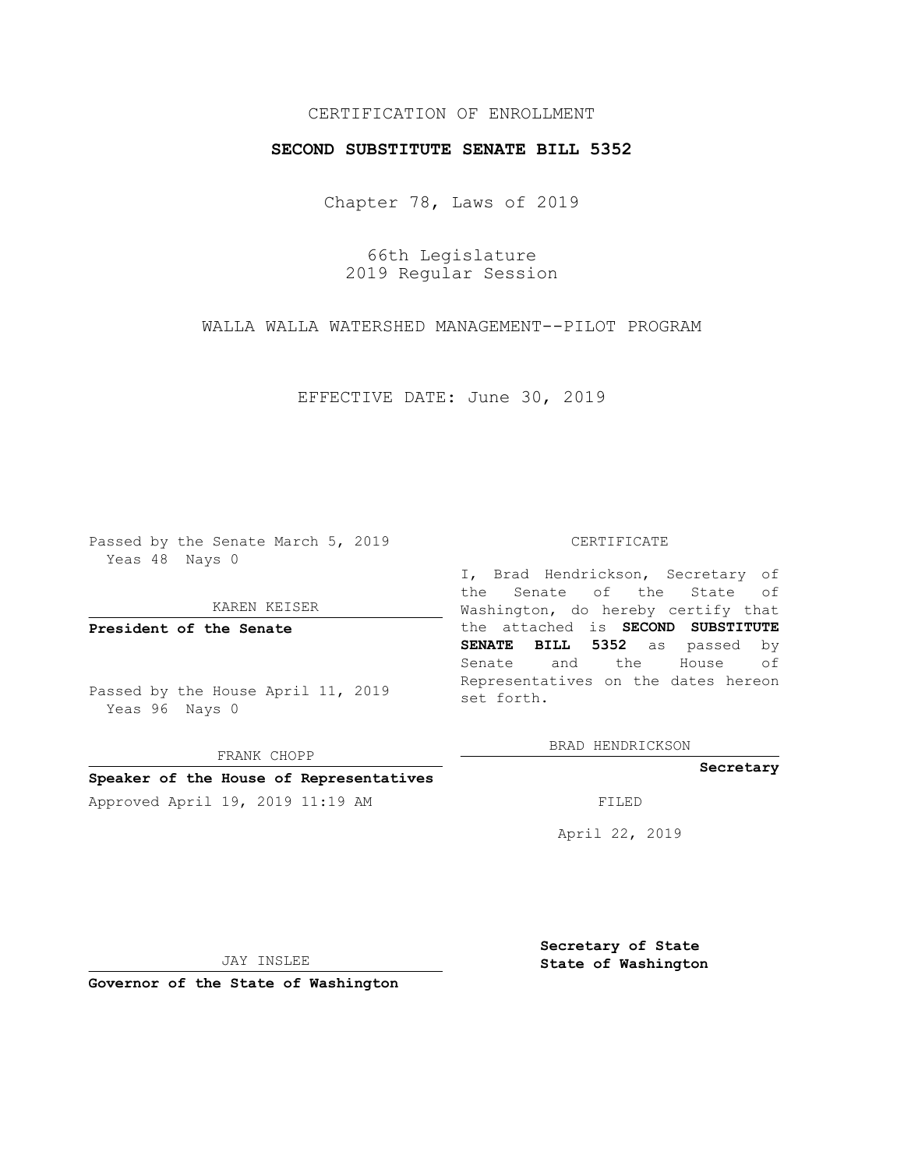# CERTIFICATION OF ENROLLMENT

# **SECOND SUBSTITUTE SENATE BILL 5352**

Chapter 78, Laws of 2019

66th Legislature 2019 Regular Session

WALLA WALLA WATERSHED MANAGEMENT--PILOT PROGRAM

EFFECTIVE DATE: June 30, 2019

Passed by the Senate March 5, 2019 Yeas 48 Nays 0

KAREN KEISER

**President of the Senate**

Passed by the House April 11, 2019 Yeas 96 Nays 0

FRANK CHOPP

### **Speaker of the House of Representatives**

Approved April 19, 2019 11:19 AM FILED

#### CERTIFICATE

I, Brad Hendrickson, Secretary of the Senate of the State of Washington, do hereby certify that the attached is **SECOND SUBSTITUTE SENATE BILL 5352** as passed by Senate and the House of Representatives on the dates hereon set forth.

BRAD HENDRICKSON

### **Secretary**

April 22, 2019

JAY INSLEE

**Governor of the State of Washington**

**Secretary of State State of Washington**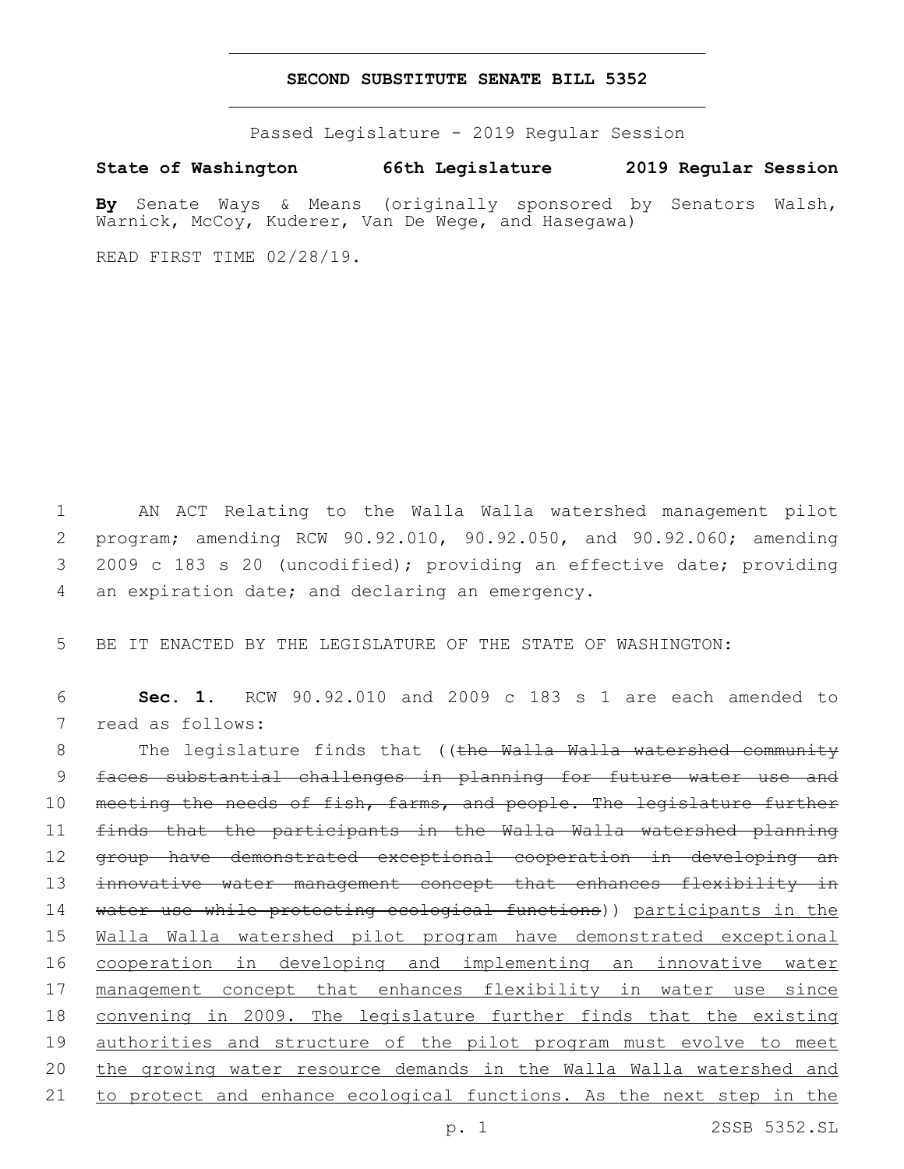# **SECOND SUBSTITUTE SENATE BILL 5352**

Passed Legislature - 2019 Regular Session

**State of Washington 66th Legislature 2019 Regular Session**

**By** Senate Ways & Means (originally sponsored by Senators Walsh, Warnick, McCoy, Kuderer, Van De Wege, and Hasegawa)

READ FIRST TIME 02/28/19.

 AN ACT Relating to the Walla Walla watershed management pilot program; amending RCW 90.92.010, 90.92.050, and 90.92.060; amending 2009 c 183 s 20 (uncodified); providing an effective date; providing 4 an expiration date; and declaring an emergency.

5 BE IT ENACTED BY THE LEGISLATURE OF THE STATE OF WASHINGTON:

6 **Sec. 1.** RCW 90.92.010 and 2009 c 183 s 1 are each amended to 7 read as follows:

8 The legislature finds that ((the Walla Walla watershed community 9 faces substantial challenges in planning for future water use and 10 meeting the needs of fish, farms, and people. The legislature further 11 finds that the participants in the Walla Walla watershed planning 12 group have demonstrated exceptional cooperation in developing an 13 innovative water management concept that enhances flexibility in 14 water use while protecting ecological functions)) participants in the 15 Walla Walla watershed pilot program have demonstrated exceptional 16 cooperation in developing and implementing an innovative water 17 management concept that enhances flexibility in water use since 18 convening in 2009. The legislature further finds that the existing 19 authorities and structure of the pilot program must evolve to meet 20 the growing water resource demands in the Walla Walla watershed and 21 to protect and enhance ecological functions. As the next step in the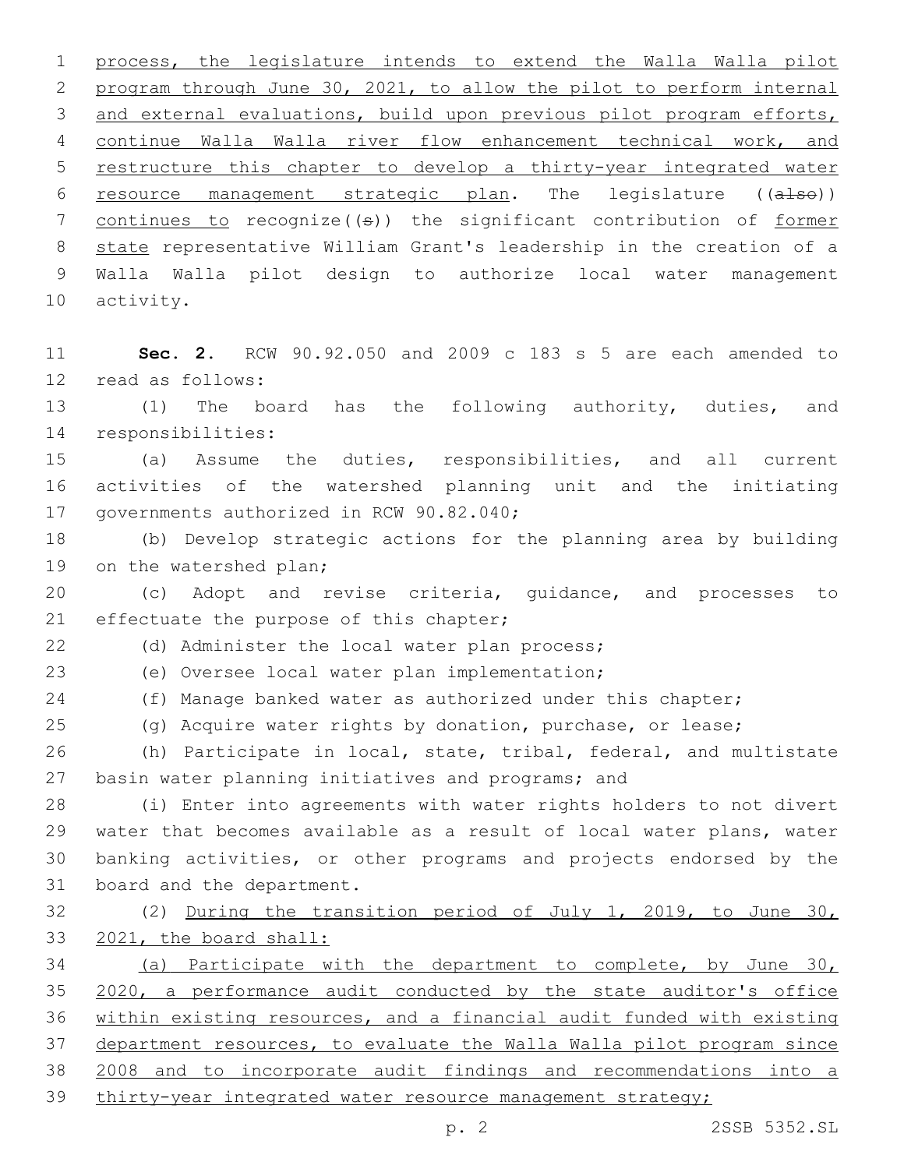process, the legislature intends to extend the Walla Walla pilot program through June 30, 2021, to allow the pilot to perform internal and external evaluations, build upon previous pilot program efforts, continue Walla Walla river flow enhancement technical work, and restructure this chapter to develop a thirty-year integrated water resource management strategic plan. The legislature ((also)) 7 continues to recognize((s)) the significant contribution of former state representative William Grant's leadership in the creation of a Walla Walla pilot design to authorize local water management 10 activity.

 **Sec. 2.** RCW 90.92.050 and 2009 c 183 s 5 are each amended to 12 read as follows:

 (1) The board has the following authority, duties, and 14 responsibilities:

 (a) Assume the duties, responsibilities, and all current activities of the watershed planning unit and the initiating 17 governments authorized in RCW 90.82.040;

 (b) Develop strategic actions for the planning area by building 19 on the watershed plan;

 (c) Adopt and revise criteria, guidance, and processes to 21 effectuate the purpose of this chapter;

22 (d) Administer the local water plan process;

(e) Oversee local water plan implementation;23

24 (f) Manage banked water as authorized under this chapter;

(g) Acquire water rights by donation, purchase, or lease;

 (h) Participate in local, state, tribal, federal, and multistate 27 basin water planning initiatives and programs; and

 (i) Enter into agreements with water rights holders to not divert water that becomes available as a result of local water plans, water banking activities, or other programs and projects endorsed by the 31 board and the department.

 (2) During the transition period of July 1, 2019, to June 30, 2021, the board shall:

 (a) Participate with the department to complete, by June 30, 35 2020, a performance audit conducted by the state auditor's office within existing resources, and a financial audit funded with existing department resources, to evaluate the Walla Walla pilot program since 2008 and to incorporate audit findings and recommendations into a thirty-year integrated water resource management strategy;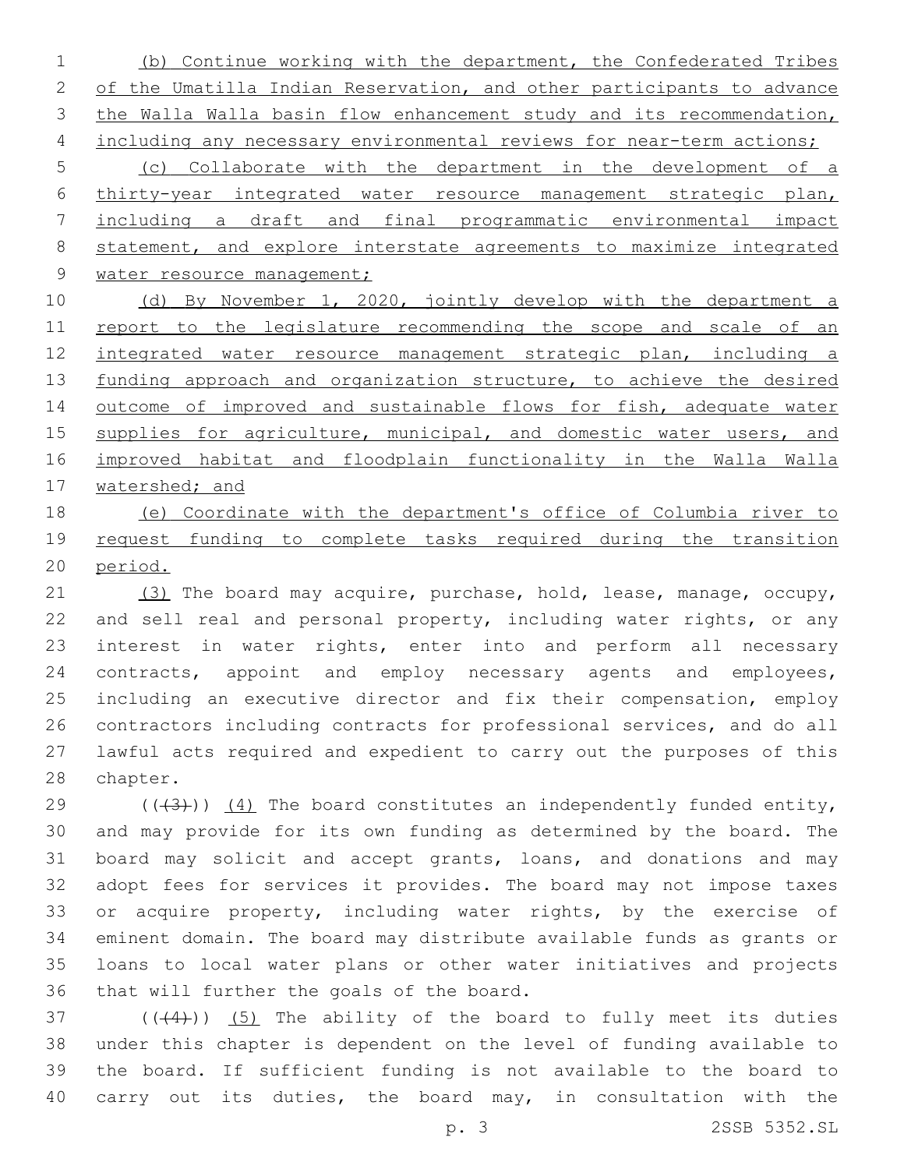1 (b) Continue working with the department, the Confederated Tribes 2 of the Umatilla Indian Reservation, and other participants to advance 3 the Walla Walla basin flow enhancement study and its recommendation, 4 including any necessary environmental reviews for near-term actions;

 (c) Collaborate with the department in the development of a thirty-year integrated water resource management strategic plan, including a draft and final programmatic environmental impact statement, and explore interstate agreements to maximize integrated 9 water resource management;

10 (d) By November 1, 2020, jointly develop with the department a 11 report to the legislature recommending the scope and scale of an 12 integrated water resource management strategic plan, including a 13 funding approach and organization structure, to achieve the desired 14 outcome of improved and sustainable flows for fish, adequate water 15 supplies for agriculture, municipal, and domestic water users, and 16 improved habitat and floodplain functionality in the Walla Walla 17 watershed; and

18 (e) Coordinate with the department's office of Columbia river to 19 request funding to complete tasks required during the transition 20 period.

21 (3) The board may acquire, purchase, hold, lease, manage, occupy, 22 and sell real and personal property, including water rights, or any 23 interest in water rights, enter into and perform all necessary 24 contracts, appoint and employ necessary agents and employees, 25 including an executive director and fix their compensation, employ 26 contractors including contracts for professional services, and do all 27 lawful acts required and expedient to carry out the purposes of this 28 chapter.

 $((+3+))$  (4) The board constitutes an independently funded entity, and may provide for its own funding as determined by the board. The board may solicit and accept grants, loans, and donations and may adopt fees for services it provides. The board may not impose taxes 33 or acquire property, including water rights, by the exercise of eminent domain. The board may distribute available funds as grants or loans to local water plans or other water initiatives and projects 36 that will further the goals of the board.

 $(1)$   $(1)$   $(5)$  The ability of the board to fully meet its duties under this chapter is dependent on the level of funding available to the board. If sufficient funding is not available to the board to carry out its duties, the board may, in consultation with the